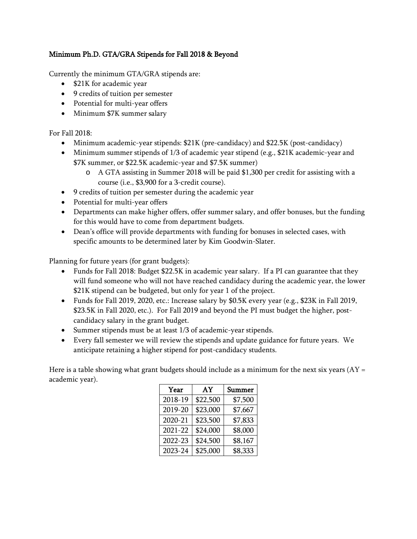## Minimum Ph.D. GTA/GRA Stipends for Fall 2018 & Beyond

Currently the minimum GTA/GRA stipends are:

- \$21K for academic year
- 9 credits of tuition per semester
- Potential for multi-year offers
- Minimum \$7K summer salary

For Fall 2018:

- Minimum academic-year stipends: \$21K (pre-candidacy) and \$22.5K (post-candidacy)
- Minimum summer stipends of 1/3 of academic year stipend (e.g., \$21K academic-year and \$7K summer, or \$22.5K academic-year and \$7.5K summer)
	- o A GTA assisting in Summer 2018 will be paid \$1,300 per credit for assisting with a course (i.e., \$3,900 for a 3-credit course).
- 9 credits of tuition per semester during the academic year
- Potential for multi-year offers
- Departments can make higher offers, offer summer salary, and offer bonuses, but the funding for this would have to come from department budgets.
- Dean's office will provide departments with funding for bonuses in selected cases, with specific amounts to be determined later by Kim Goodwin-Slater.

Planning for future years (for grant budgets):

- Funds for Fall 2018: Budget \$22.5K in academic year salary. If a PI can guarantee that they will fund someone who will not have reached candidacy during the academic year, the lower \$21K stipend can be budgeted, but only for year 1 of the project.
- Funds for Fall 2019, 2020, etc.: Increase salary by \$0.5K every year (e.g., \$23K in Fall 2019, \$23.5K in Fall 2020, etc.). For Fall 2019 and beyond the PI must budget the higher, postcandidacy salary in the grant budget.
- Summer stipends must be at least 1/3 of academic-year stipends.
- Every fall semester we will review the stipends and update guidance for future years. We anticipate retaining a higher stipend for post-candidacy students.

Here is a table showing what grant budgets should include as a minimum for the next six years  $(AY =$ academic year).

| Year    | AY       | Summer  |
|---------|----------|---------|
| 2018-19 | \$22,500 | \$7,500 |
| 2019-20 | \$23,000 | \$7,667 |
| 2020-21 | \$23,500 | \$7,833 |
| 2021-22 | \$24,000 | \$8,000 |
| 2022-23 | \$24,500 | \$8,167 |
| 2023-24 | \$25,000 | \$8,333 |